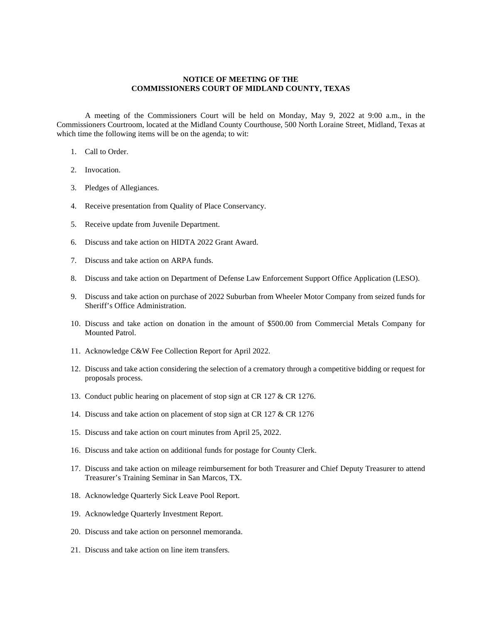## **NOTICE OF MEETING OF THE COMMISSIONERS COURT OF MIDLAND COUNTY, TEXAS**

A meeting of the Commissioners Court will be held on Monday, May 9, 2022 at 9:00 a.m., in the Commissioners Courtroom, located at the Midland County Courthouse, 500 North Loraine Street, Midland, Texas at which time the following items will be on the agenda; to wit:

- 1. Call to Order.
- 2. Invocation.
- 3. Pledges of Allegiances.
- 4. Receive presentation from Quality of Place Conservancy.
- 5. Receive update from Juvenile Department.
- 6. Discuss and take action on HIDTA 2022 Grant Award.
- 7. Discuss and take action on ARPA funds.
- 8. Discuss and take action on Department of Defense Law Enforcement Support Office Application (LESO).
- 9. Discuss and take action on purchase of 2022 Suburban from Wheeler Motor Company from seized funds for Sheriff's Office Administration.
- 10. Discuss and take action on donation in the amount of \$500.00 from Commercial Metals Company for Mounted Patrol.
- 11. Acknowledge C&W Fee Collection Report for April 2022.
- 12. Discuss and take action considering the selection of a crematory through a competitive bidding or request for proposals process.
- 13. Conduct public hearing on placement of stop sign at CR 127 & CR 1276.
- 14. Discuss and take action on placement of stop sign at CR 127 & CR 1276
- 15. Discuss and take action on court minutes from April 25, 2022.
- 16. Discuss and take action on additional funds for postage for County Clerk.
- 17. Discuss and take action on mileage reimbursement for both Treasurer and Chief Deputy Treasurer to attend Treasurer's Training Seminar in San Marcos, TX.
- 18. Acknowledge Quarterly Sick Leave Pool Report.
- 19. Acknowledge Quarterly Investment Report.
- 20. Discuss and take action on personnel memoranda.
- 21. Discuss and take action on line item transfers.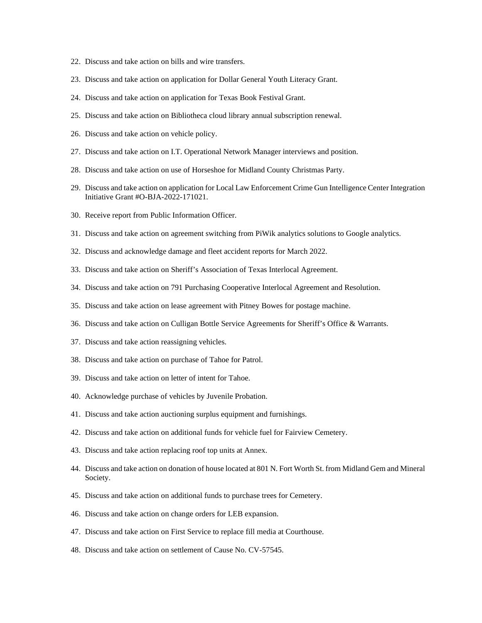- 22. Discuss and take action on bills and wire transfers.
- 23. Discuss and take action on application for Dollar General Youth Literacy Grant.
- 24. Discuss and take action on application for Texas Book Festival Grant.
- 25. Discuss and take action on Bibliotheca cloud library annual subscription renewal.
- 26. Discuss and take action on vehicle policy.
- 27. Discuss and take action on I.T. Operational Network Manager interviews and position.
- 28. Discuss and take action on use of Horseshoe for Midland County Christmas Party.
- 29. Discuss and take action on application for Local Law Enforcement Crime Gun Intelligence Center Integration Initiative Grant #O-BJA-2022-171021.
- 30. Receive report from Public Information Officer.
- 31. Discuss and take action on agreement switching from PiWik analytics solutions to Google analytics.
- 32. Discuss and acknowledge damage and fleet accident reports for March 2022.
- 33. Discuss and take action on Sheriff's Association of Texas Interlocal Agreement.
- 34. Discuss and take action on 791 Purchasing Cooperative Interlocal Agreement and Resolution.
- 35. Discuss and take action on lease agreement with Pitney Bowes for postage machine.
- 36. Discuss and take action on Culligan Bottle Service Agreements for Sheriff's Office & Warrants.
- 37. Discuss and take action reassigning vehicles.
- 38. Discuss and take action on purchase of Tahoe for Patrol.
- 39. Discuss and take action on letter of intent for Tahoe.
- 40. Acknowledge purchase of vehicles by Juvenile Probation.
- 41. Discuss and take action auctioning surplus equipment and furnishings.
- 42. Discuss and take action on additional funds for vehicle fuel for Fairview Cemetery.
- 43. Discuss and take action replacing roof top units at Annex.
- 44. Discuss and take action on donation of house located at 801 N. Fort Worth St. from Midland Gem and Mineral Society.
- 45. Discuss and take action on additional funds to purchase trees for Cemetery.
- 46. Discuss and take action on change orders for LEB expansion.
- 47. Discuss and take action on First Service to replace fill media at Courthouse.
- 48. Discuss and take action on settlement of Cause No. CV-57545.